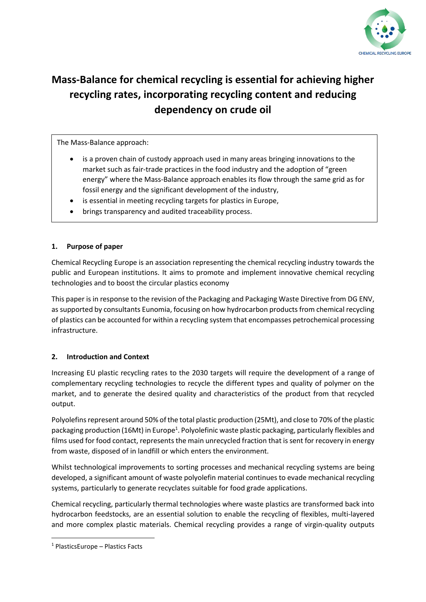

# **Mass-Balance for chemical recycling is essential for achieving higher recycling rates, incorporating recycling content and reducing dependency on crude oil**

The Mass-Balance approach:

- is a proven chain of custody approach used in many areas bringing innovations to the market such as fair-trade practices in the food industry and the adoption of "green energy" where the Mass-Balance approach enables its flow through the same grid as for fossil energy and the significant development of the industry,
- is essential in meeting recycling targets for plastics in Europe,
- brings transparency and audited traceability process.

## **1. Purpose of paper**

Chemical Recycling Europe is an association representing the chemical recycling industry towards the public and European institutions. It aims to promote and implement innovative chemical recycling technologies and to boost the circular plastics economy

This paper is in response to the revision of the Packaging and Packaging Waste Directive from DG ENV, as supported by consultants Eunomia, focusing on how hydrocarbon products from chemical recycling of plastics can be accounted for within a recycling system that encompasses petrochemical processing infrastructure.

## **2. Introduction and Context**

Increasing EU plastic recycling rates to the 2030 targets will require the development of a range of complementary recycling technologies to recycle the different types and quality of polymer on the market, and to generate the desired quality and characteristics of the product from that recycled output.

Polyolefins represent around 50% of the total plastic production (25Mt), and close to 70% of the plastic packaging production (16Mt) in Europe<sup>1</sup>. Polyolefinic waste plastic packaging, particularly flexibles and films used for food contact, represents the main unrecycled fraction that is sent for recovery in energy from waste, disposed of in landfill or which enters the environment.

Whilst technological improvements to sorting processes and mechanical recycling systems are being developed, a significant amount of waste polyolefin material continues to evade mechanical recycling systems, particularly to generate recyclates suitable for food grade applications.

Chemical recycling, particularly thermal technologies where waste plastics are transformed back into hydrocarbon feedstocks, are an essential solution to enable the recycling of flexibles, multi-layered and more complex plastic materials. Chemical recycling provides a range of virgin-quality outputs

<sup>1</sup> PlasticsEurope – Plastics Facts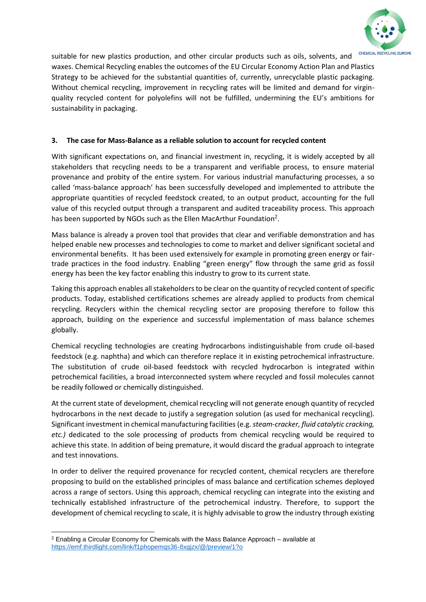

suitable for new plastics production, and other circular products such as oils, solvents, and waxes. Chemical Recycling enables the outcomes of the EU Circular Economy Action Plan and Plastics Strategy to be achieved for the substantial quantities of, currently, unrecyclable plastic packaging. Without chemical recycling, improvement in recycling rates will be limited and demand for virginquality recycled content for polyolefins will not be fulfilled, undermining the EU's ambitions for sustainability in packaging.

## **3. The case for Mass-Balance as a reliable solution to account for recycled content**

With significant expectations on, and financial investment in, recycling, it is widely accepted by all stakeholders that recycling needs to be a transparent and verifiable process, to ensure material provenance and probity of the entire system. For various industrial manufacturing processes, a so called 'mass-balance approach' has been successfully developed and implemented to attribute the appropriate quantities of recycled feedstock created, to an output product, accounting for the full value of this recycled output through a transparent and audited traceability process. This approach has been supported by NGOs such as the Ellen MacArthur Foundation<sup>2</sup>.

Mass balance is already a proven tool that provides that clear and verifiable demonstration and has helped enable new processes and technologies to come to market and deliver significant societal and environmental benefits. It has been used extensively for example in promoting green energy or fairtrade practices in the food industry. Enabling "green energy" flow through the same grid as fossil energy has been the key factor enabling this industry to grow to its current state.

Taking this approach enables all stakeholders to be clear on the quantity of recycled content of specific products. Today, established certifications schemes are already applied to products from chemical recycling. Recyclers within the chemical recycling sector are proposing therefore to follow this approach, building on the experience and successful implementation of mass balance schemes globally.

Chemical recycling technologies are creating hydrocarbons indistinguishable from crude oil-based feedstock (e.g. naphtha) and which can therefore replace it in existing petrochemical infrastructure. The substitution of crude oil-based feedstock with recycled hydrocarbon is integrated within petrochemical facilities, a broad interconnected system where recycled and fossil molecules cannot be readily followed or chemically distinguished.

At the current state of development, chemical recycling will not generate enough quantity of recycled hydrocarbons in the next decade to justify a segregation solution (as used for mechanical recycling). Significant investment in chemical manufacturing facilities (e.g.*steam-cracker, fluid catalytic cracking, etc.)* dedicated to the sole processing of products from chemical recycling would be required to achieve this state. In addition of being premature, it would discard the gradual approach to integrate and test innovations.

In order to deliver the required provenance for recycled content, chemical recyclers are therefore proposing to build on the established principles of mass balance and certification schemes deployed across a range of sectors. Using this approach, chemical recycling can integrate into the existing and technically established infrastructure of the petrochemical industry. Therefore, to support the development of chemical recycling to scale, it is highly advisable to grow the industry through existing

 $2$  Enabling a Circular Economy for Chemicals with the Mass Balance Approach – available at <https://emf.thirdlight.com/link/f1phopemqs36-8xgjzx/@/preview/1?o>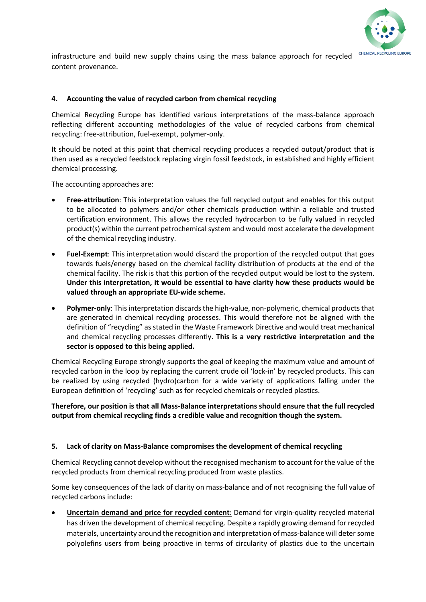

infrastructure and build new supply chains using the mass balance approach for recycled content provenance.

#### **4. Accounting the value of recycled carbon from chemical recycling**

Chemical Recycling Europe has identified various interpretations of the mass-balance approach reflecting different accounting methodologies of the value of recycled carbons from chemical recycling: free-attribution, fuel-exempt, polymer-only.

It should be noted at this point that chemical recycling produces a recycled output/product that is then used as a recycled feedstock replacing virgin fossil feedstock, in established and highly efficient chemical processing.

The accounting approaches are:

- **Free-attribution**: This interpretation values the full recycled output and enables for this output to be allocated to polymers and/or other chemicals production within a reliable and trusted certification environment. This allows the recycled hydrocarbon to be fully valued in recycled product(s) within the current petrochemical system and would most accelerate the development of the chemical recycling industry.
- **Fuel-Exempt**: This interpretation would discard the proportion of the recycled output that goes towards fuels/energy based on the chemical facility distribution of products at the end of the chemical facility. The risk is that this portion of the recycled output would be lost to the system. **Under this interpretation, it would be essential to have clarity how these products would be valued through an appropriate EU-wide scheme.**
- **Polymer-only**: This interpretation discards the high-value, non-polymeric, chemical products that are generated in chemical recycling processes. This would therefore not be aligned with the definition of "recycling" as stated in the Waste Framework Directive and would treat mechanical and chemical recycling processes differently. **This is a very restrictive interpretation and the sector is opposed to this being applied.**

Chemical Recycling Europe strongly supports the goal of keeping the maximum value and amount of recycled carbon in the loop by replacing the current crude oil 'lock-in' by recycled products. This can be realized by using recycled (hydro)carbon for a wide variety of applications falling under the European definition of 'recycling' such as for recycled chemicals or recycled plastics.

## **Therefore, our position is that all Mass-Balance interpretations should ensure that the full recycled output from chemical recycling finds a credible value and recognition though the system.**

## **5. Lack of clarity on Mass-Balance compromises the development of chemical recycling**

Chemical Recycling cannot develop without the recognised mechanism to account for the value of the recycled products from chemical recycling produced from waste plastics.

Some key consequences of the lack of clarity on mass-balance and of not recognising the full value of recycled carbons include:

• **Uncertain demand and price for recycled content**: Demand for virgin-quality recycled material has driven the development of chemical recycling. Despite a rapidly growing demand for recycled materials, uncertainty around the recognition and interpretation of mass-balance will deter some polyolefins users from being proactive in terms of circularity of plastics due to the uncertain